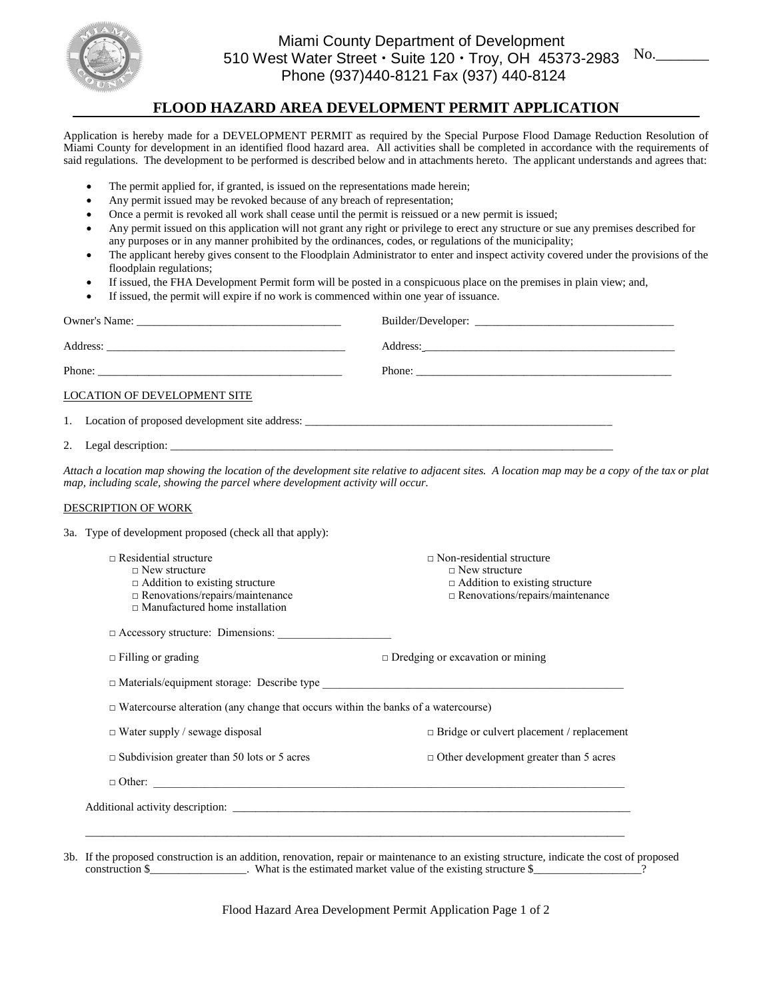

## Miami County Department of Development 510 West Water Street  $\cdot$  Suite 120  $\cdot$  Troy, OH 45373-2983 Phone (937)440-8121 Fax (937) 440-8124

# **FLOOD HAZARD AREA DEVELOPMENT PERMIT APPLICATION**

Application is hereby made for a DEVELOPMENT PERMIT as required by the Special Purpose Flood Damage Reduction Resolution of Miami County for development in an identified flood hazard area. All activities shall be completed in accordance with the requirements of said regulations. The development to be performed is described below and in attachments hereto. The applicant understands and agrees that:

- The permit applied for, if granted, is issued on the representations made herein;
- Any permit issued may be revoked because of any breach of representation;
- Once a permit is revoked all work shall cease until the permit is reissued or a new permit is issued;
- Any permit issued on this application will not grant any right or privilege to erect any structure or sue any premises described for any purposes or in any manner prohibited by the ordinances, codes, or regulations of the municipality;
- The applicant hereby gives consent to the Floodplain Administrator to enter and inspect activity covered under the provisions of the floodplain regulations;
- If issued, the FHA Development Permit form will be posted in a conspicuous place on the premises in plain view; and,
- If issued, the permit will expire if no work is commenced within one year of issuance.

| Attach a location map showing the location of the development site relative to adjacent sites. A location map may be a copy of the tax or plat<br>map, including scale, showing the parcel where development activity will occur. |
|-----------------------------------------------------------------------------------------------------------------------------------------------------------------------------------------------------------------------------------|
|                                                                                                                                                                                                                                   |
| 3a. Type of development proposed (check all that apply):                                                                                                                                                                          |
| $\Box$ Non-residential structure<br>$\Box$ New structure<br>$\Box$ Addition to existing structure<br>$\Box$ Renovations/repairs/maintenance                                                                                       |
|                                                                                                                                                                                                                                   |
| $\Box$ Dredging or excavation or mining                                                                                                                                                                                           |
|                                                                                                                                                                                                                                   |
| $\Box$ Watercourse alteration (any change that occurs within the banks of a watercourse)                                                                                                                                          |
| $\Box$ Bridge or culvert placement / replacement                                                                                                                                                                                  |
| $\Box$ Other development greater than 5 acres                                                                                                                                                                                     |
| $\Box$ Other: $\Box$                                                                                                                                                                                                              |
|                                                                                                                                                                                                                                   |
|                                                                                                                                                                                                                                   |
|                                                                                                                                                                                                                                   |

3b. If the proposed construction is an addition, renovation, repair or maintenance to an existing structure, indicate the cost of proposed construction \$\_\_\_\_\_\_\_\_\_\_\_\_\_\_\_\_. What is the estimated market value of the existing structure \$\_\_\_\_\_\_\_\_\_\_\_\_\_\_\_\_\_.

Flood Hazard Area Development Permit Application Page 1 of 2

No.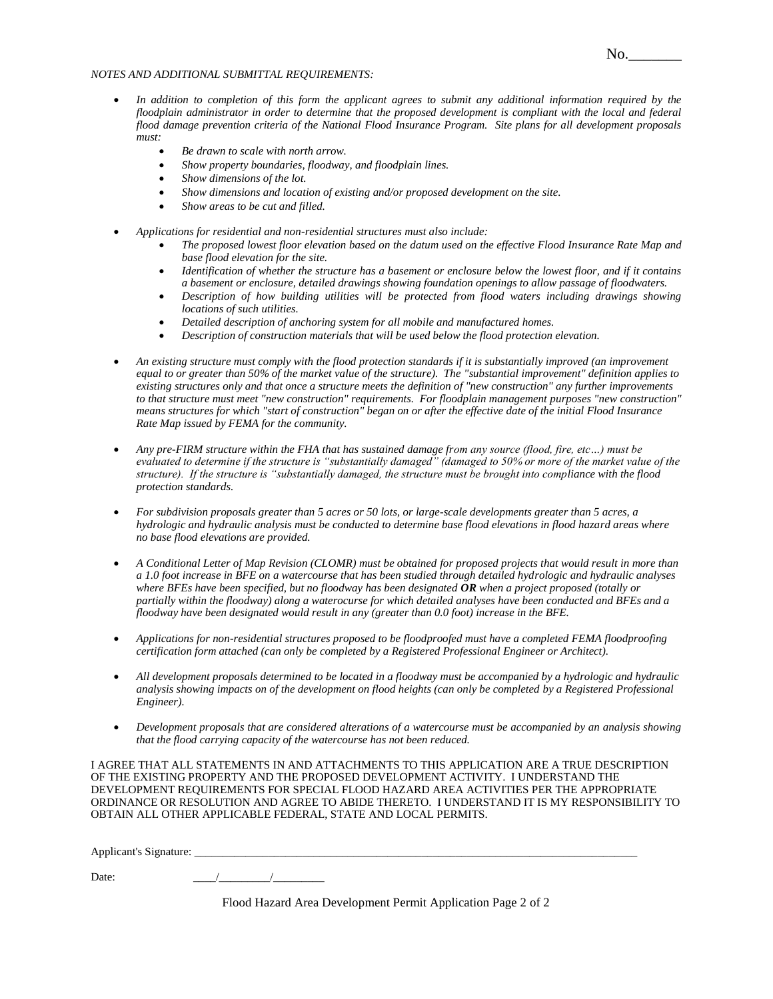#### *NOTES AND ADDITIONAL SUBMITTAL REQUIREMENTS:*

- In addition to completion of this form the applicant agrees to submit any additional information required by the *floodplain administrator in order to determine that the proposed development is compliant with the local and federal flood damage prevention criteria of the National Flood Insurance Program. Site plans for all development proposals must:* 
	- *Be drawn to scale with north arrow.*
	- *Show property boundaries, floodway, and floodplain lines.*
	- *Show dimensions of the lot.*
	- *Show dimensions and location of existing and/or proposed development on the site.*
	- *Show areas to be cut and filled.*
- *Applications for residential and non-residential structures must also include:*
	- *The proposed lowest floor elevation based on the datum used on the effective Flood Insurance Rate Map and base flood elevation for the site.*
	- *Identification of whether the structure has a basement or enclosure below the lowest floor, and if it contains a basement or enclosure, detailed drawings showing foundation openings to allow passage of floodwaters.*
	- *Description of how building utilities will be protected from flood waters including drawings showing locations of such utilities.*
	- *Detailed description of anchoring system for all mobile and manufactured homes.*
	- *Description of construction materials that will be used below the flood protection elevation.*
- *An existing structure must comply with the flood protection standards if it is substantially improved (an improvement equal to or greater than 50% of the market value of the structure). The "substantial improvement" definition applies to existing structures only and that once a structure meets the definition of "new construction" any further improvements to that structure must meet "new construction" requirements. For floodplain management purposes "new construction" means structures for which "start of construction" began on or after the effective date of the initial Flood Insurance Rate Map issued by FEMA for the community.*
- *Any pre-FIRM structure within the FHA that has sustained damage from any source (flood, fire, etc…) must be evaluated to determine if the structure is "substantially damaged" (damaged to 50% or more of the market value of the structure). If the structure is "substantially damaged, the structure must be brought into compliance with the flood protection standards.*
- *For subdivision proposals greater than 5 acres or 50 lots, or large-scale developments greater than 5 acres, a hydrologic and hydraulic analysis must be conducted to determine base flood elevations in flood hazard areas where no base flood elevations are provided.*
- *A Conditional Letter of Map Revision (CLOMR) must be obtained for proposed projects that would result in more than a 1.0 foot increase in BFE on a watercourse that has been studied through detailed hydrologic and hydraulic analyses where BFEs have been specified, but no floodway has been designated OR when a project proposed (totally or partially within the floodway) along a waterocurse for which detailed analyses have been conducted and BFEs and a floodway have been designated would result in any (greater than 0.0 foot) increase in the BFE.*
- *Applications for non-residential structures proposed to be floodproofed must have a completed FEMA floodproofing certification form attached (can only be completed by a Registered Professional Engineer or Architect).*
- *All development proposals determined to be located in a floodway must be accompanied by a hydrologic and hydraulic analysis showing impacts on of the development on flood heights (can only be completed by a Registered Professional Engineer).*
- *Development proposals that are considered alterations of a watercourse must be accompanied by an analysis showing that the flood carrying capacity of the watercourse has not been reduced.*

I AGREE THAT ALL STATEMENTS IN AND ATTACHMENTS TO THIS APPLICATION ARE A TRUE DESCRIPTION OF THE EXISTING PROPERTY AND THE PROPOSED DEVELOPMENT ACTIVITY. I UNDERSTAND THE DEVELOPMENT REQUIREMENTS FOR SPECIAL FLOOD HAZARD AREA ACTIVITIES PER THE APPROPRIATE ORDINANCE OR RESOLUTION AND AGREE TO ABIDE THERETO. I UNDERSTAND IT IS MY RESPONSIBILITY TO OBTAIN ALL OTHER APPLICABLE FEDERAL, STATE AND LOCAL PERMITS.

Applicant's Signature:

Date: \_\_\_\_/\_\_\_\_\_\_\_\_\_/\_\_\_\_\_\_\_\_\_

Flood Hazard Area Development Permit Application Page 2 of 2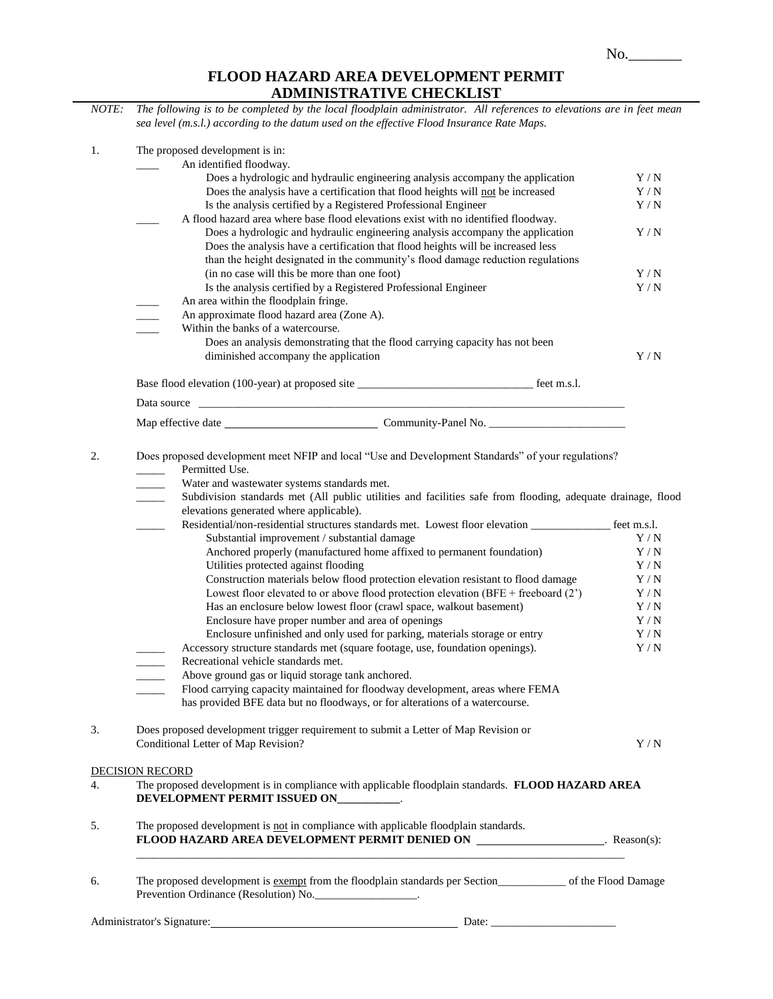## **FLOOD HAZARD AREA DEVELOPMENT PERMIT ADMINISTRATIVE CHECKLIST**

| NOTE: | <i><b>INDIAN AD INVESTIGATION</b></i><br>The following is to be completed by the local floodplain administrator. All references to elevations are in feet mean<br>sea level (m.s.l.) according to the datum used on the effective Flood Insurance Rate Maps.                                                   |            |
|-------|----------------------------------------------------------------------------------------------------------------------------------------------------------------------------------------------------------------------------------------------------------------------------------------------------------------|------------|
| 1.    | The proposed development is in:                                                                                                                                                                                                                                                                                |            |
|       | An identified floodway.                                                                                                                                                                                                                                                                                        |            |
|       | Does a hydrologic and hydraulic engineering analysis accompany the application                                                                                                                                                                                                                                 | Y/N        |
|       | Does the analysis have a certification that flood heights will not be increased                                                                                                                                                                                                                                | Y/N        |
|       | Is the analysis certified by a Registered Professional Engineer                                                                                                                                                                                                                                                | Y/N        |
|       | A flood hazard area where base flood elevations exist with no identified floodway.<br>Does a hydrologic and hydraulic engineering analysis accompany the application                                                                                                                                           | Y/N        |
|       | Does the analysis have a certification that flood heights will be increased less                                                                                                                                                                                                                               |            |
|       | than the height designated in the community's flood damage reduction regulations                                                                                                                                                                                                                               |            |
|       | (in no case will this be more than one foot)                                                                                                                                                                                                                                                                   | Y/N        |
|       | Is the analysis certified by a Registered Professional Engineer                                                                                                                                                                                                                                                | Y/N        |
|       | An area within the floodplain fringe.                                                                                                                                                                                                                                                                          |            |
|       | An approximate flood hazard area (Zone A).                                                                                                                                                                                                                                                                     |            |
|       | Within the banks of a watercourse.                                                                                                                                                                                                                                                                             |            |
|       | Does an analysis demonstrating that the flood carrying capacity has not been                                                                                                                                                                                                                                   |            |
|       | diminished accompany the application                                                                                                                                                                                                                                                                           | Y/N        |
|       |                                                                                                                                                                                                                                                                                                                |            |
|       | Data source                                                                                                                                                                                                                                                                                                    |            |
|       |                                                                                                                                                                                                                                                                                                                |            |
| 2.    | Does proposed development meet NFIP and local "Use and Development Standards" of your regulations?<br>Permitted Use.<br>Water and wastewater systems standards met.<br>$\overline{\phantom{a}}$<br>Subdivision standards met (All public utilities and facilities safe from flooding, adequate drainage, flood |            |
|       | elevations generated where applicable).                                                                                                                                                                                                                                                                        |            |
|       | Residential/non-residential structures standards met. Lowest floor elevation ______________ feet m.s.l.                                                                                                                                                                                                        |            |
|       | Substantial improvement / substantial damage                                                                                                                                                                                                                                                                   | Y / N      |
|       | Anchored properly (manufactured home affixed to permanent foundation)<br>Utilities protected against flooding                                                                                                                                                                                                  | Y/N<br>Y/N |
|       | Construction materials below flood protection elevation resistant to flood damage                                                                                                                                                                                                                              | Y/N        |
|       | Lowest floor elevated to or above flood protection elevation (BFE + freeboard $(2')$ )                                                                                                                                                                                                                         | Y/N        |
|       | Has an enclosure below lowest floor (crawl space, walkout basement)                                                                                                                                                                                                                                            | Y/N        |
|       | Enclosure have proper number and area of openings                                                                                                                                                                                                                                                              | Y/N        |
|       | Enclosure unfinished and only used for parking, materials storage or entry                                                                                                                                                                                                                                     | Y/N        |
|       | Accessory structure standards met (square footage, use, foundation openings).                                                                                                                                                                                                                                  | Y/N        |
|       | Recreational vehicle standards met.                                                                                                                                                                                                                                                                            |            |
|       | Above ground gas or liquid storage tank anchored.                                                                                                                                                                                                                                                              |            |
|       | Flood carrying capacity maintained for floodway development, areas where FEMA<br>has provided BFE data but no floodways, or for alterations of a watercourse.                                                                                                                                                  |            |
| 3.    | Does proposed development trigger requirement to submit a Letter of Map Revision or                                                                                                                                                                                                                            |            |
|       | Conditional Letter of Map Revision?                                                                                                                                                                                                                                                                            | Y/N        |
|       | <b>DECISION RECORD</b>                                                                                                                                                                                                                                                                                         |            |
| 4.    | The proposed development is in compliance with applicable floodplain standards. FLOOD HAZARD AREA                                                                                                                                                                                                              |            |
|       | DEVELOPMENT PERMIT ISSUED ON__________.                                                                                                                                                                                                                                                                        |            |
| 5.    | The proposed development is not in compliance with applicable floodplain standards.<br>FLOOD HAZARD AREA DEVELOPMENT PERMIT DENIED ON ___________________. Reason(s):                                                                                                                                          |            |
| 6.    | The proposed development is exempt from the floodplain standards per Section of the Flood Damage<br>Prevention Ordinance (Resolution) No.                                                                                                                                                                      |            |
|       |                                                                                                                                                                                                                                                                                                                |            |
|       | Administrator's Signature: 1990 and 200 ministrator's Signature: 1990 and 200 ministrator's Signature:                                                                                                                                                                                                         |            |